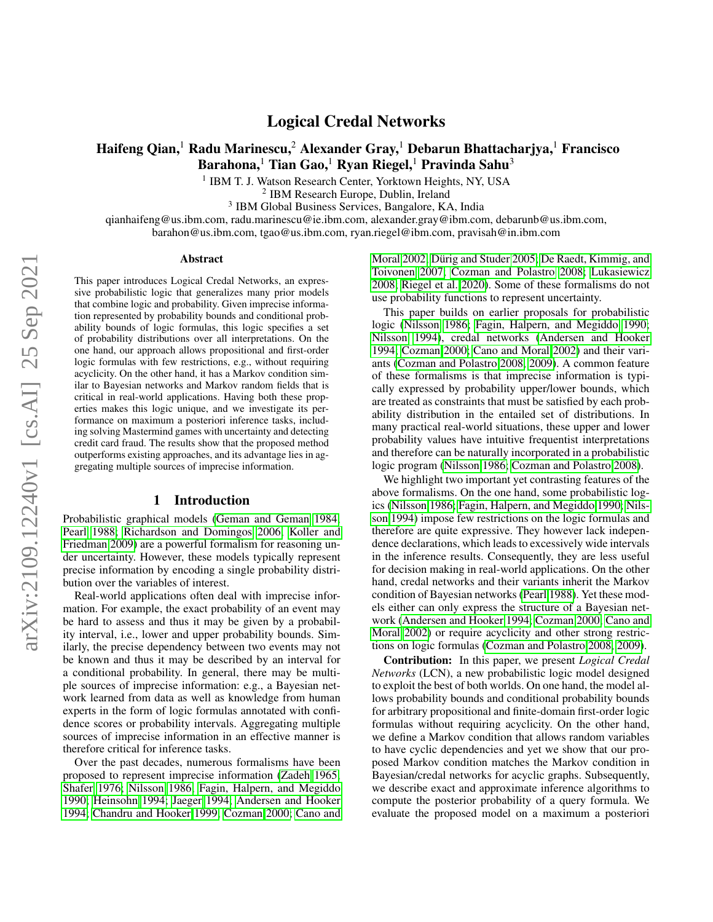# Logical Credal Networks

# Haifeng Qian,<sup>1</sup> Radu Marinescu,<sup>2</sup> Alexander Gray,<sup>1</sup> Debarun Bhattachariya,<sup>1</sup> Francisco Barahona,<sup>1</sup> Tian Gao,<sup>1</sup> Ryan Riegel,<sup>1</sup> Pravinda Sahu<sup>3</sup>

<sup>1</sup> IBM T. J. Watson Research Center, Yorktown Heights, NY, USA

2 IBM Research Europe, Dublin, Ireland

<sup>3</sup> IBM Global Business Services, Bangalore, KA, India

qianhaifeng@us.ibm.com, radu.marinescu@ie.ibm.com, alexander.gray@ibm.com, debarunb@us.ibm.com,

barahon@us.ibm.com, tgao@us.ibm.com, ryan.riegel@ibm.com, pravisah@in.ibm.com

#### Abstract

This paper introduces Logical Credal Networks, an expressive probabilistic logic that generalizes many prior models that combine logic and probability. Given imprecise information represented by probability bounds and conditional probability bounds of logic formulas, this logic specifies a set of probability distributions over all interpretations. On the one hand, our approach allows propositional and first-order logic formulas with few restrictions, e.g., without requiring acyclicity. On the other hand, it has a Markov condition similar to Bayesian networks and Markov random fields that is critical in real-world applications. Having both these properties makes this logic unique, and we investigate its performance on maximum a posteriori inference tasks, including solving Mastermind games with uncertainty and detecting credit card fraud. The results show that the proposed method outperforms existing approaches, and its advantage lies in aggregating multiple sources of imprecise information.

## 1 Introduction

Probabilistic graphical models [\(Geman and Geman 1984;](#page-7-0) [Pearl 1988;](#page-7-1) [Richardson and Domingos 2006;](#page-7-2) [Koller and](#page-7-3) [Friedman 2009\)](#page-7-3) are a powerful formalism for reasoning under uncertainty. However, these models typically represent precise information by encoding a single probability distribution over the variables of interest.

Real-world applications often deal with imprecise information. For example, the exact probability of an event may be hard to assess and thus it may be given by a probability interval, i.e., lower and upper probability bounds. Similarly, the precise dependency between two events may not be known and thus it may be described by an interval for a conditional probability. In general, there may be multiple sources of imprecise information: e.g., a Bayesian network learned from data as well as knowledge from human experts in the form of logic formulas annotated with confidence scores or probability intervals. Aggregating multiple sources of imprecise information in an effective manner is therefore critical for inference tasks.

Over the past decades, numerous formalisms have been proposed to represent imprecise information [\(Zadeh 1965;](#page-7-4) [Shafer 1976;](#page-7-5) [Nilsson 1986;](#page-7-6) [Fagin, Halpern, and Megiddo](#page-7-7) [1990;](#page-7-7) [Heinsohn 1994;](#page-7-8) [Jaeger 1994;](#page-7-9) [Andersen and Hooker](#page-7-10) [1994;](#page-7-10) [Chandru and Hooker 1999;](#page-7-11) [Cozman 2000;](#page-7-12) [Cano and](#page-7-13)

[Moral 2002;](#page-7-13) Dürig and Studer 2005; [De Raedt, Kimmig, and](#page-7-15) [Toivonen 2007;](#page-7-15) [Cozman and Polastro 2008;](#page-7-16) [Lukasiewicz](#page-7-17) [2008;](#page-7-17) [Riegel et al. 2020\)](#page-7-18). Some of these formalisms do not use probability functions to represent uncertainty.

This paper builds on earlier proposals for probabilistic logic [\(Nilsson 1986;](#page-7-6) [Fagin, Halpern, and Megiddo 1990;](#page-7-7) [Nilsson 1994\)](#page-7-19), credal networks [\(Andersen and Hooker](#page-7-10) [1994;](#page-7-10) [Cozman 2000;](#page-7-12) [Cano and Moral 2002\)](#page-7-13) and their variants [\(Cozman and Polastro 2008,](#page-7-16) [2009\)](#page-7-20). A common feature of these formalisms is that imprecise information is typically expressed by probability upper/lower bounds, which are treated as constraints that must be satisfied by each probability distribution in the entailed set of distributions. In many practical real-world situations, these upper and lower probability values have intuitive frequentist interpretations and therefore can be naturally incorporated in a probabilistic logic program [\(Nilsson 1986;](#page-7-6) [Cozman and Polastro 2008\)](#page-7-16).

We highlight two important yet contrasting features of the above formalisms. On the one hand, some probabilistic logics [\(Nilsson 1986;](#page-7-6) [Fagin, Halpern, and Megiddo 1990;](#page-7-7) [Nils](#page-7-19)[son 1994\)](#page-7-19) impose few restrictions on the logic formulas and therefore are quite expressive. They however lack independence declarations, which leads to excessively wide intervals in the inference results. Consequently, they are less useful for decision making in real-world applications. On the other hand, credal networks and their variants inherit the Markov condition of Bayesian networks [\(Pearl 1988\)](#page-7-1). Yet these models either can only express the structure of a Bayesian network [\(Andersen and Hooker 1994;](#page-7-10) [Cozman 2000;](#page-7-12) [Cano and](#page-7-13) [Moral 2002\)](#page-7-13) or require acyclicity and other strong restrictions on logic formulas [\(Cozman and Polastro 2008,](#page-7-16) [2009\)](#page-7-20).

Contribution: In this paper, we present *Logical Credal Networks* (LCN), a new probabilistic logic model designed to exploit the best of both worlds. On one hand, the model allows probability bounds and conditional probability bounds for arbitrary propositional and finite-domain first-order logic formulas without requiring acyclicity. On the other hand, we define a Markov condition that allows random variables to have cyclic dependencies and yet we show that our proposed Markov condition matches the Markov condition in Bayesian/credal networks for acyclic graphs. Subsequently, we describe exact and approximate inference algorithms to compute the posterior probability of a query formula. We evaluate the proposed model on a maximum a posteriori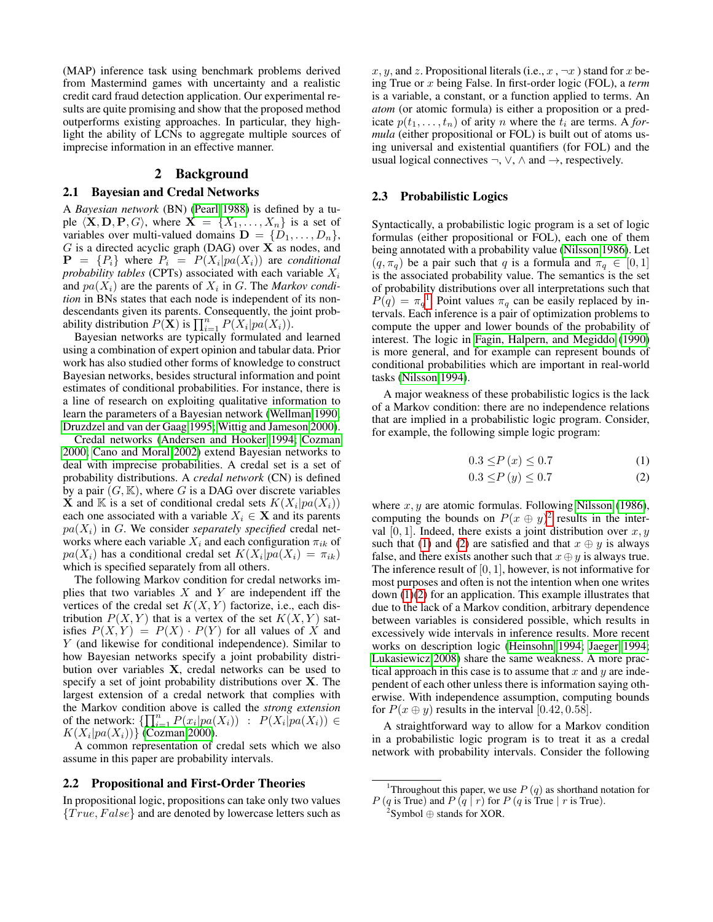(MAP) inference task using benchmark problems derived from Mastermind games with uncertainty and a realistic credit card fraud detection application. Our experimental results are quite promising and show that the proposed method outperforms existing approaches. In particular, they highlight the ability of LCNs to aggregate multiple sources of imprecise information in an effective manner.

## 2 Background

## <span id="page-1-5"></span>2.1 Bayesian and Credal Networks

A *Bayesian network* (BN) [\(Pearl 1988\)](#page-7-1) is defined by a tuple  $\langle \mathbf{X}, \mathbf{D}, \mathbf{P}, G \rangle$ , where  $\mathbf{X} = \{X_1, \dots, X_n\}$  is a set of variables over multi-valued domains  $\mathbf{D} = \{D_1, \ldots, D_n\},\$  $G$  is a directed acyclic graph (DAG) over  $X$  as nodes, and  $\mathbf{P} = \{P_i\}$  where  $P_i = P(X_i | pa(X_i))$  are *conditional probability tables* (CPTs) associated with each variable  $X_i$ and  $pa(X_i)$  are the parents of  $X_i$  in G. The *Markov condition* in BNs states that each node is independent of its nondescendants given its parents. Consequently, the joint probability distribution  $P(\mathbf{X})$  is  $\prod_{i=1}^{n} P(X_i | pa(X_i)).$ 

Bayesian networks are typically formulated and learned using a combination of expert opinion and tabular data. Prior work has also studied other forms of knowledge to construct Bayesian networks, besides structural information and point estimates of conditional probabilities. For instance, there is a line of research on exploiting qualitative information to learn the parameters of a Bayesian network [\(Wellman 1990;](#page-7-21) [Druzdzel and van der Gaag 1995;](#page-7-22) [Wittig and Jameson 2000\)](#page-7-23).

Credal networks [\(Andersen and Hooker 1994;](#page-7-10) [Cozman](#page-7-12) [2000;](#page-7-12) [Cano and Moral 2002\)](#page-7-13) extend Bayesian networks to deal with imprecise probabilities. A credal set is a set of probability distributions. A *credal network* (CN) is defined by a pair  $(G, K)$ , where G is a DAG over discrete variables  $\hat{\mathbf{X}}$  and  $\mathbb{K}$  is a set of conditional credal sets  $K(X_i|pa(X_i))$ each one associated with a variable  $X_i \in \mathbf{X}$  and its parents  $pa(X_i)$  in G. We consider *separately specified* credal networks where each variable  $X_i$  and each configuration  $\pi_{ik}$  of  $pa(X_i)$  has a conditional credal set  $K(X_i|pa(X_i) = \pi_{ik})$ which is specified separately from all others.

The following Markov condition for credal networks implies that two variables  $X$  and  $Y$  are independent iff the vertices of the credal set  $K(X, Y)$  factorize, i.e., each distribution  $P(X, Y)$  that is a vertex of the set  $K(X, Y)$  satisfies  $P(X, Y) = P(X) \cdot P(Y)$  for all values of X and Y (and likewise for conditional independence). Similar to how Bayesian networks specify a joint probability distribution over variables X, credal networks can be used to specify a set of joint probability distributions over X. The largest extension of a credal network that complies with the Markov condition above is called the *strong extension* of the network:  $\{\prod_{i=1}^n P(x_i|pa(X_i)) : P(X_i|pa(X_i)) \in$  $K(X_i|pa(X_i))$ } [\(Cozman 2000\)](#page-7-12).

A common representation of credal sets which we also assume in this paper are probability intervals.

### 2.2 Propositional and First-Order Theories

In propositional logic, propositions can take only two values  ${True, False}$  and are denoted by lowercase letters such as x, y, and z. Propositional literals (i.e.,  $x, \neg x$ ) stand for x being True or x being False. In first-order logic (FOL), a *term* is a variable, a constant, or a function applied to terms. An *atom* (or atomic formula) is either a proposition or a predicate  $p(t_1, \ldots, t_n)$  of arity *n* where the  $t_i$  are terms. A *formula* (either propositional or FOL) is built out of atoms using universal and existential quantifiers (for FOL) and the usual logical connectives  $\neg$ ,  $\vee$ ,  $\wedge$  and  $\rightarrow$ , respectively.

### <span id="page-1-4"></span>2.3 Probabilistic Logics

Syntactically, a probabilistic logic program is a set of logic formulas (either propositional or FOL), each one of them being annotated with a probability value [\(Nilsson 1986\)](#page-7-6). Let  $(q, \pi_q)$  be a pair such that q is a formula and  $\pi_q \in [0, 1]$ is the associated probability value. The semantics is the set of probability distributions over all interpretations such that  $P(q) = \pi_q^{-1}$  $P(q) = \pi_q^{-1}$  $P(q) = \pi_q^{-1}$ . Point values  $\pi_q$  can be easily replaced by intervals. Each inference is a pair of optimization problems to compute the upper and lower bounds of the probability of interest. The logic in [Fagin, Halpern, and Megiddo](#page-7-7) [\(1990\)](#page-7-7) is more general, and for example can represent bounds of conditional probabilities which are important in real-world tasks [\(Nilsson 1994\)](#page-7-19).

A major weakness of these probabilistic logics is the lack of a Markov condition: there are no independence relations that are implied in a probabilistic logic program. Consider, for example, the following simple logic program:

$$
0.3 \le P(x) \le 0.7 \tag{1}
$$

<span id="page-1-3"></span><span id="page-1-2"></span>
$$
0.3 \le P(y) \le 0.7\tag{2}
$$

where  $x, y$  are atomic formulas. Following [Nilsson](#page-7-6) [\(1986\)](#page-7-6), computing the bounds on  $P(x \oplus y)^2$  $P(x \oplus y)^2$  results in the interval [0, 1]. Indeed, there exists a joint distribution over  $x, y$ such that [\(1\)](#page-1-2) and [\(2\)](#page-1-3) are satisfied and that  $x \oplus y$  is always false, and there exists another such that  $x \oplus y$  is always true. The inference result of  $[0, 1]$ , however, is not informative for most purposes and often is not the intention when one writes down [\(1\)](#page-1-2)[\(2\)](#page-1-3) for an application. This example illustrates that due to the lack of a Markov condition, arbitrary dependence between variables is considered possible, which results in excessively wide intervals in inference results. More recent works on description logic [\(Heinsohn 1994;](#page-7-8) [Jaeger 1994;](#page-7-9) [Lukasiewicz 2008\)](#page-7-17) share the same weakness. A more practical approach in this case is to assume that  $x$  and  $y$  are independent of each other unless there is information saying otherwise. With independence assumption, computing bounds for  $P(x \oplus y)$  results in the interval [0.42, 0.58].

A straightforward way to allow for a Markov condition in a probabilistic logic program is to treat it as a credal network with probability intervals. Consider the following

<span id="page-1-0"></span><sup>&</sup>lt;sup>1</sup>Throughout this paper, we use  $P(q)$  as shorthand notation for  $P(q \text{ is True})$  and  $P(q \mid r)$  for  $P(q \text{ is True} \mid r \text{ is True}).$ 

<span id="page-1-1"></span> $2$ Symbol  $\oplus$  stands for XOR.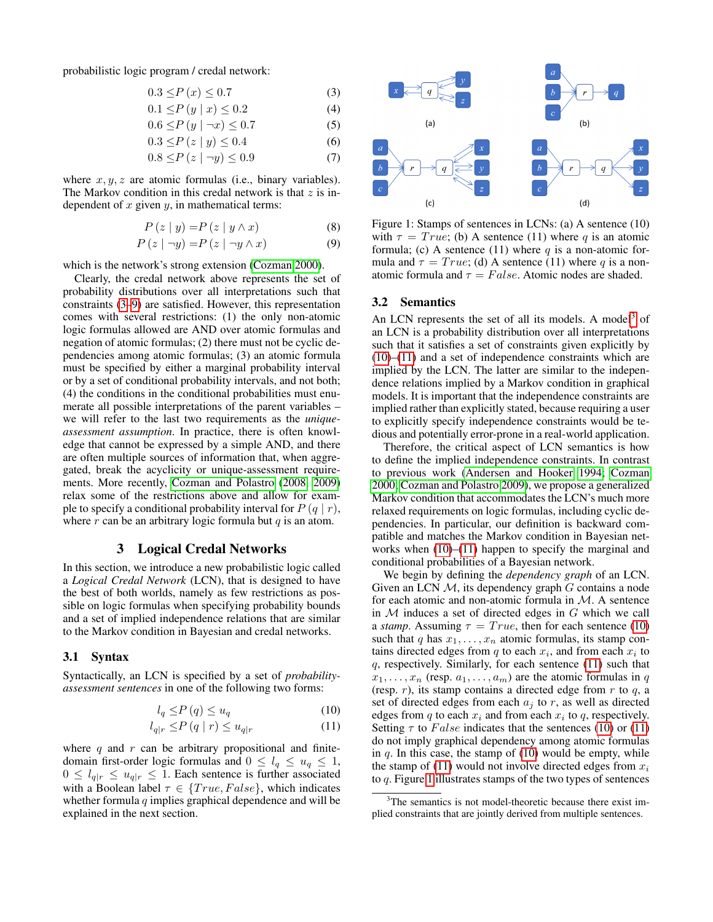probabilistic logic program / credal network:

$$
0.3 \le P\left(x\right) \le 0.7\tag{3}
$$

$$
0.1 \le P(y \mid x) \le 0.2 \tag{4}
$$

$$
0.6 \le P(y \mid \neg x) \le 0.7 \tag{5}
$$

$$
0.3 \le P(z \mid y) \le 0.4 \tag{6}
$$

$$
0.8 \le P\left(z \mid \neg y\right) \le 0.9\tag{7}
$$

where  $x, y, z$  are atomic formulas (i.e., binary variables). The Markov condition in this credal network is that  $z$  is independent of  $x$  given  $y$ , in mathematical terms:

$$
P(z | y) = P(z | y \wedge x)
$$
 (8)

$$
P(z \mid \neg y) = P(z \mid \neg y \land x) \tag{9}
$$

which is the network's strong extension [\(Cozman 2000\)](#page-7-12).

Clearly, the credal network above represents the set of probability distributions over all interpretations such that constraints [\(3](#page-2-0)[–9\)](#page-2-1) are satisfied. However, this representation comes with several restrictions: (1) the only non-atomic logic formulas allowed are AND over atomic formulas and negation of atomic formulas; (2) there must not be cyclic dependencies among atomic formulas; (3) an atomic formula must be specified by either a marginal probability interval or by a set of conditional probability intervals, and not both; (4) the conditions in the conditional probabilities must enumerate all possible interpretations of the parent variables – we will refer to the last two requirements as the *uniqueassessment assumption*. In practice, there is often knowledge that cannot be expressed by a simple AND, and there are often multiple sources of information that, when aggregated, break the acyclicity or unique-assessment requirements. More recently, [Cozman and Polastro](#page-7-16) [\(2008,](#page-7-16) [2009\)](#page-7-20) relax some of the restrictions above and allow for example to specify a conditional probability interval for  $P(q | r)$ , where  $r$  can be an arbitrary logic formula but  $q$  is an atom.

### 3 Logical Credal Networks

In this section, we introduce a new probabilistic logic called a *Logical Credal Network* (LCN), that is designed to have the best of both worlds, namely as few restrictions as possible on logic formulas when specifying probability bounds and a set of implied independence relations that are similar to the Markov condition in Bayesian and credal networks.

#### 3.1 Syntax

Syntactically, an LCN is specified by a set of *probabilityassessment sentences* in one of the following two forms:

$$
l_q \le P(q) \le u_q \tag{10}
$$

$$
l_{q|r} \le P(q|r) \le u_{q|r} \tag{11}
$$

where  $q$  and  $r$  can be arbitrary propositional and finitedomain first-order logic formulas and  $0 \leq l_q \leq u_q \leq 1$ ,  $0 \leq l_{q|r} \leq u_{q|r} \leq 1$ . Each sentence is further associated with a Boolean label  $\tau \in \{True, False\}$ , which indicates whether formula  $q$  implies graphical dependence and will be explained in the next section.

<span id="page-2-9"></span><span id="page-2-8"></span><span id="page-2-7"></span><span id="page-2-5"></span><span id="page-2-0"></span>

<span id="page-2-6"></span><span id="page-2-1"></span>Figure 1: Stamps of sentences in LCNs: (a) A sentence (10) with  $\tau = True$ ; (b) A sentence (11) where q is an atomic formula; (c) A sentence (11) where  $q$  is a non-atomic formula and  $\tau = True$ ; (d) A sentence (11) where q is a nonatomic formula and  $\tau = False$ . Atomic nodes are shaded.

#### 3.2 Semantics

An LCN represents the set of all its models. A model<sup>[3](#page-2-2)</sup> of an LCN is a probability distribution over all interpretations such that it satisfies a set of constraints given explicitly by  $(10)$ – $(11)$  and a set of independence constraints which are implied by the LCN. The latter are similar to the independence relations implied by a Markov condition in graphical models. It is important that the independence constraints are implied rather than explicitly stated, because requiring a user to explicitly specify independence constraints would be tedious and potentially error-prone in a real-world application.

Therefore, the critical aspect of LCN semantics is how to define the implied independence constraints. In contrast to previous work [\(Andersen and Hooker 1994;](#page-7-10) [Cozman](#page-7-12) [2000;](#page-7-12) [Cozman and Polastro 2009\)](#page-7-20), we propose a generalized Markov condition that accommodates the LCN's much more relaxed requirements on logic formulas, including cyclic dependencies. In particular, our definition is backward compatible and matches the Markov condition in Bayesian networks when  $(10)$ – $(11)$  happen to specify the marginal and conditional probabilities of a Bayesian network.

We begin by defining the *dependency graph* of an LCN. Given an LCN  $M$ , its dependency graph  $G$  contains a node for each atomic and non-atomic formula in M. A sentence in  $M$  induces a set of directed edges in  $G$  which we call a *stamp*. Assuming  $\tau = True$ , then for each sentence [\(10\)](#page-2-3) such that q has  $x_1, \ldots, x_n$  atomic formulas, its stamp contains directed edges from  $q$  to each  $x_i$ , and from each  $x_i$  to  $q$ , respectively. Similarly, for each sentence  $(11)$  such that  $x_1, \ldots, x_n$  (resp.  $a_1, \ldots, a_m$ ) are the atomic formulas in q (resp.  $r$ ), its stamp contains a directed edge from  $r$  to  $q$ , a set of directed edges from each  $a_i$  to r, as well as directed edges from q to each  $x_i$  and from each  $x_i$  to q, respectively. Setting  $\tau$  to False indicates that the sentences [\(10\)](#page-2-3) or [\(11\)](#page-2-4) do not imply graphical dependency among atomic formulas in  $q$ . In this case, the stamp of [\(10\)](#page-2-3) would be empty, while the stamp of [\(11\)](#page-2-4) would not involve directed edges from  $x_i$ to  $q$ . Figure [1](#page-2-5) illustrates stamps of the two types of sentences

<span id="page-2-4"></span><span id="page-2-3"></span><span id="page-2-2"></span><sup>&</sup>lt;sup>3</sup>The semantics is not model-theoretic because there exist implied constraints that are jointly derived from multiple sentences.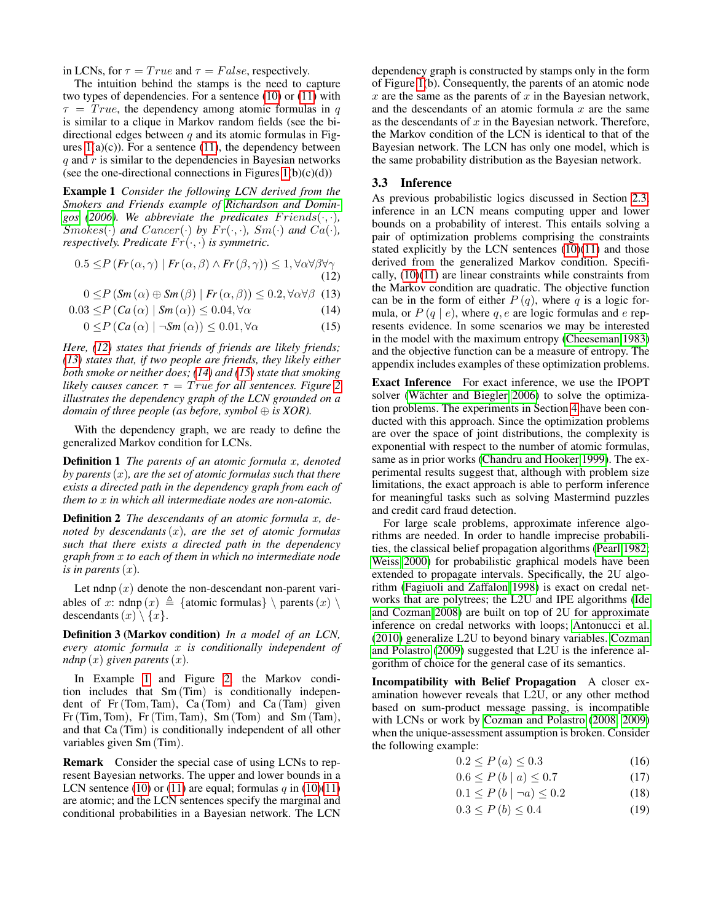in LCNs, for  $\tau = True$  and  $\tau = False$ , respectively.

The intuition behind the stamps is the need to capture two types of dependencies. For a sentence [\(10\)](#page-2-3) or [\(11\)](#page-2-4) with  $\tau = True$ , the dependency among atomic formulas in q is similar to a clique in Markov random fields (see the bidirectional edges between  $q$  and its atomic formulas in Figures  $1(a)(c)$ ). For a sentence [\(11\)](#page-2-4), the dependency between  $q$  and  $r$  is similar to the dependencies in Bayesian networks (see the one-directional connections in Figures  $1(b)(c)(d)$ )

<span id="page-3-4"></span>Example 1 *Consider the following LCN derived from the Smokers and Friends example of [Richardson and Domin](#page-7-2)[gos](#page-7-2)* [\(2006\)](#page-7-2). We abbreviate the predicates  $F$ riends( $\cdot$ , $\cdot$ ), Smokes( $\cdot$ ) and Cancer( $\cdot$ ) by  $Fr(\cdot, \cdot)$ , Sm( $\cdot$ ) and Ca( $\cdot$ ), *respectively. Predicate*  $Fr(\cdot, \cdot)$  *is symmetric.* 

$$
0.5 \le P\left(Fr\left(\alpha,\gamma\right) \mid Fr\left(\alpha,\beta\right) \land Fr\left(\beta,\gamma\right)\right) \le 1, \forall \alpha \forall \beta \forall \gamma \tag{12}
$$

 $0 \le P(Sm(\alpha) \oplus Sm(\beta) | Fr(\alpha, \beta)) \le 0.2, \forall \alpha \forall \beta$  (13)

$$
0.03 \le P \left( Ca \left( \alpha \right) \mid Sm \left( \alpha \right) \right) \le 0.04, \forall \alpha \tag{14}
$$

$$
0 \le P \left( Ca \left( \alpha \right) \mid \neg Sm \left( \alpha \right) \right) \le 0.01, \forall \alpha \tag{15}
$$

*Here, [\(12\)](#page-3-0) states that friends of friends are likely friends; [\(13\)](#page-3-1) states that, if two people are friends, they likely either both smoke or neither does; [\(14\)](#page-3-2) and [\(15\)](#page-3-3) state that smoking likely causes cancer.*  $\tau = True$  *for all sentences. Figure* [2](#page-4-0) *illustrates the dependency graph of the LCN grounded on a domain of three people (as before, symbol* ⊕ *is XOR).*

With the dependency graph, we are ready to define the generalized Markov condition for LCNs.

Definition 1 *The parents of an atomic formula* x*, denoted by parents*(x)*, are the set of atomic formulas such that there exists a directed path in the dependency graph from each of them to* x *in which all intermediate nodes are non-atomic.*

Definition 2 *The descendants of an atomic formula* x*, denoted by descendants*(x)*, are the set of atomic formulas such that there exists a directed path in the dependency graph from* x *to each of them in which no intermediate node is in parents*  $(x)$ *.* 

Let ndnp  $(x)$  denote the non-descendant non-parent variables of x: ndnp  $(x) \triangleq$  {atomic formulas} \ parents  $(x) \setminus$ descendants  $(x) \setminus \{x\}.$ 

Definition 3 (Markov condition) *In a model of an LCN, every atomic formula* x *is conditionally independent of ndnp*  $(x)$  *given parents*  $(x)$ *.* 

In Example [1](#page-3-4) and Figure [2,](#page-4-0) the Markov condition includes that Sm (Tim) is conditionally independent of Fr(Tom, Tam), Ca (Tom) and Ca (Tam) given Fr(Tim, Tom), Fr(Tim, Tam), Sm (Tom) and Sm (Tam), and that Ca (Tim) is conditionally independent of all other variables given Sm (Tim).

Remark Consider the special case of using LCNs to represent Bayesian networks. The upper and lower bounds in a LCN sentence [\(10\)](#page-2-3) or [\(11\)](#page-2-4) are equal; formulas  $q$  in (10)(11) are atomic; and the LCN sentences specify the marginal and conditional probabilities in a Bayesian network. The LCN

dependency graph is constructed by stamps only in the form of Figure [1\(](#page-2-5)b). Consequently, the parents of an atomic node  $x$  are the same as the parents of  $x$  in the Bayesian network, and the descendants of an atomic formula  $x$  are the same as the descendants of  $x$  in the Bayesian network. Therefore, the Markov condition of the LCN is identical to that of the Bayesian network. The LCN has only one model, which is the same probability distribution as the Bayesian network.

## 3.3 Inference

<span id="page-3-1"></span><span id="page-3-0"></span>As previous probabilistic logics discussed in Section [2.3,](#page-1-4) inference in an LCN means computing upper and lower bounds on a probability of interest. This entails solving a pair of optimization problems comprising the constraints stated explicitly by the LCN sentences [\(10\)](#page-2-3)[\(11\)](#page-2-4) and those derived from the generalized Markov condition. Specifically, [\(10\)](#page-2-3)[\(11\)](#page-2-4) are linear constraints while constraints from the Markov condition are quadratic. The objective function can be in the form of either  $P(q)$ , where q is a logic formula, or  $P(q \mid e)$ , where q, e are logic formulas and e represents evidence. In some scenarios we may be interested in the model with the maximum entropy [\(Cheeseman 1983\)](#page-7-24) and the objective function can be a measure of entropy. The appendix includes examples of these optimization problems.

<span id="page-3-3"></span><span id="page-3-2"></span>Exact Inference For exact inference, we use the IPOPT solver (Wächter and Biegler 2006) to solve the optimization problems. The experiments in Section [4](#page-5-0) have been conducted with this approach. Since the optimization problems are over the space of joint distributions, the complexity is exponential with respect to the number of atomic formulas, same as in prior works [\(Chandru and Hooker 1999\)](#page-7-11). The experimental results suggest that, although with problem size limitations, the exact approach is able to perform inference for meaningful tasks such as solving Mastermind puzzles and credit card fraud detection.

For large scale problems, approximate inference algorithms are needed. In order to handle imprecise probabilities, the classical belief propagation algorithms [\(Pearl 1982;](#page-7-26) [Weiss 2000\)](#page-7-27) for probabilistic graphical models have been extended to propagate intervals. Specifically, the 2U algorithm [\(Fagiuoli and Zaffalon 1998\)](#page-7-28) is exact on credal networks that are polytrees; the L2U and IPE algorithms [\(Ide](#page-7-29) [and Cozman 2008\)](#page-7-29) are built on top of 2U for approximate inference on credal networks with loops; [Antonucci et al.](#page-7-30) [\(2010\)](#page-7-30) generalize L2U to beyond binary variables. [Cozman](#page-7-20) [and Polastro](#page-7-20) [\(2009\)](#page-7-20) suggested that L2U is the inference algorithm of choice for the general case of its semantics.

Incompatibility with Belief Propagation A closer examination however reveals that L2U, or any other method based on sum-product message passing, is incompatible with LCNs or work by [Cozman and Polastro](#page-7-16) [\(2008,](#page-7-16) [2009\)](#page-7-20) when the unique-assessment assumption is broken. Consider the following example:

<span id="page-3-6"></span><span id="page-3-5"></span>
$$
0.2 \le P\left(a\right) \le 0.3\tag{16}
$$

$$
0.6 \le P(b \mid a) \le 0.7 \tag{17}
$$

$$
0.1 \le P(b \mid \neg a) \le 0.2 \tag{18}
$$

<span id="page-3-7"></span>
$$
0.3 \le P(b) \le 0.4 \tag{19}
$$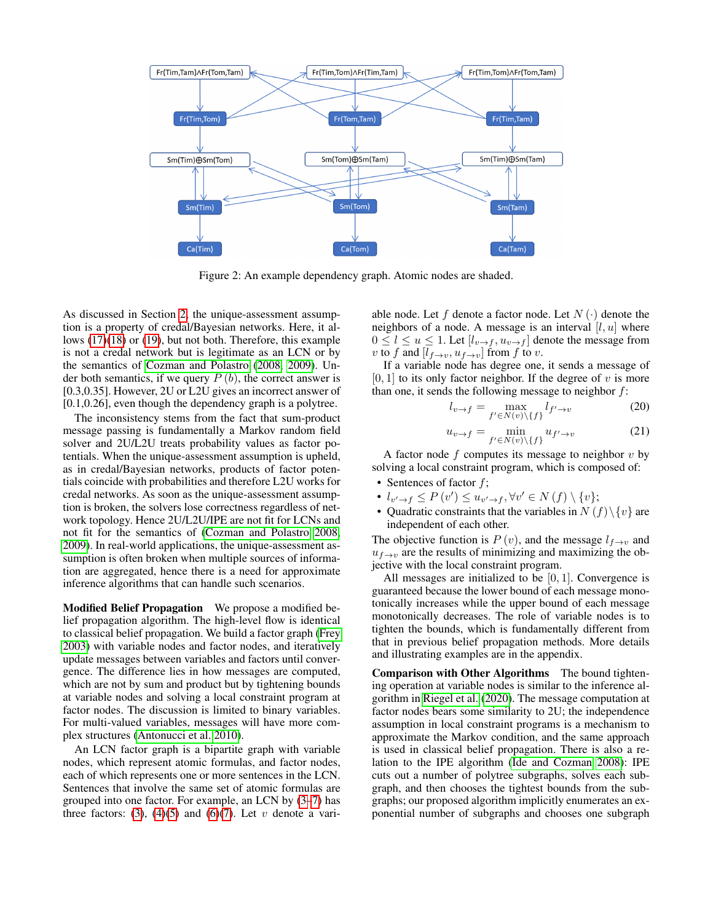<span id="page-4-0"></span>

Figure 2: An example dependency graph. Atomic nodes are shaded.

As discussed in Section [2,](#page-1-5) the unique-assessment assumption is a property of credal/Bayesian networks. Here, it allows [\(17\)](#page-3-5)[\(18\)](#page-3-6) or [\(19\)](#page-3-7), but not both. Therefore, this example is not a credal network but is legitimate as an LCN or by the semantics of [Cozman and Polastro](#page-7-16) [\(2008,](#page-7-16) [2009\)](#page-7-20). Under both semantics, if we query  $P(b)$ , the correct answer is [0.3,0.35]. However, 2U or L2U gives an incorrect answer of [0.1,0.26], even though the dependency graph is a polytree.

The inconsistency stems from the fact that sum-product message passing is fundamentally a Markov random field solver and 2U/L2U treats probability values as factor potentials. When the unique-assessment assumption is upheld, as in credal/Bayesian networks, products of factor potentials coincide with probabilities and therefore L2U works for credal networks. As soon as the unique-assessment assumption is broken, the solvers lose correctness regardless of network topology. Hence 2U/L2U/IPE are not fit for LCNs and not fit for the semantics of [\(Cozman and Polastro 2008,](#page-7-16) [2009\)](#page-7-20). In real-world applications, the unique-assessment assumption is often broken when multiple sources of information are aggregated, hence there is a need for approximate inference algorithms that can handle such scenarios.

Modified Belief Propagation We propose a modified belief propagation algorithm. The high-level flow is identical to classical belief propagation. We build a factor graph [\(Frey](#page-7-31) [2003\)](#page-7-31) with variable nodes and factor nodes, and iteratively update messages between variables and factors until convergence. The difference lies in how messages are computed, which are not by sum and product but by tightening bounds at variable nodes and solving a local constraint program at factor nodes. The discussion is limited to binary variables. For multi-valued variables, messages will have more complex structures [\(Antonucci et al. 2010\)](#page-7-30).

An LCN factor graph is a bipartite graph with variable nodes, which represent atomic formulas, and factor nodes, each of which represents one or more sentences in the LCN. Sentences that involve the same set of atomic formulas are grouped into one factor. For example, an LCN by [\(3](#page-2-0)[–7\)](#page-2-6) has three factors: [\(3\)](#page-2-0), [\(4\)](#page-2-7)[\(5\)](#page-2-8) and [\(6\)](#page-2-9)[\(7\)](#page-2-6). Let v denote a variable node. Let f denote a factor node. Let  $N(\cdot)$  denote the neighbors of a node. A message is an interval  $[l, u]$  where  $0 \leq l \leq u \leq 1$ . Let  $[l_{v \to f}, u_{v \to f}]$  denote the message from v to f and  $[l_{f\rightarrow v}, u_{f\rightarrow v}]$  from f to v.

If a variable node has degree one, it sends a message of  $[0, 1]$  to its only factor neighbor. If the degree of v is more than one, it sends the following message to neighbor  $f$ :

$$
l_{v \to f} = \max_{f' \in N(v) \setminus \{f\}} l_{f' \to v} \tag{20}
$$

$$
u_{v \to f} = \min_{f' \in N(v) \setminus \{f\}} u_{f' \to v} \tag{21}
$$

A factor node  $f$  computes its message to neighbor  $v$  by solving a local constraint program, which is composed of:

- Sentences of factor  $f$ ;
- $l_{v' \to f} \leq P(v') \leq u_{v' \to f}, \forall v' \in N(f) \setminus \{v\};$
- Quadratic constraints that the variables in  $N(f)\setminus\{v\}$  are independent of each other.

The objective function is  $P(v)$ , and the message  $l_{f\rightarrow v}$  and  $u_{f\rightarrow v}$  are the results of minimizing and maximizing the objective with the local constraint program.

All messages are initialized to be  $[0, 1]$ . Convergence is guaranteed because the lower bound of each message monotonically increases while the upper bound of each message monotonically decreases. The role of variable nodes is to tighten the bounds, which is fundamentally different from that in previous belief propagation methods. More details and illustrating examples are in the appendix.

Comparison with Other Algorithms The bound tightening operation at variable nodes is similar to the inference algorithm in [Riegel et al.](#page-7-18) [\(2020\)](#page-7-18). The message computation at factor nodes bears some similarity to 2U; the independence assumption in local constraint programs is a mechanism to approximate the Markov condition, and the same approach is used in classical belief propagation. There is also a relation to the IPE algorithm [\(Ide and Cozman 2008\)](#page-7-29): IPE cuts out a number of polytree subgraphs, solves each subgraph, and then chooses the tightest bounds from the subgraphs; our proposed algorithm implicitly enumerates an exponential number of subgraphs and chooses one subgraph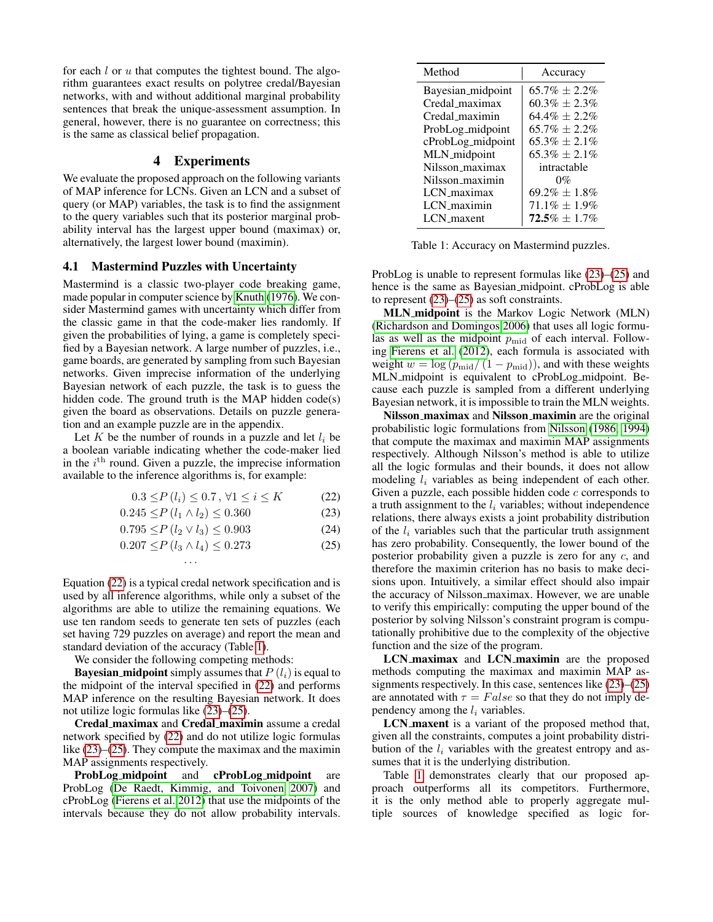for each  $l$  or  $u$  that computes the tightest bound. The algorithm guarantees exact results on polytree credal/Bayesian networks, with and without additional marginal probability sentences that break the unique-assessment assumption. In general, however, there is no guarantee on correctness; this is the same as classical belief propagation.

## 4 Experiments

<span id="page-5-0"></span>We evaluate the proposed approach on the following variants of MAP inference for LCNs. Given an LCN and a subset of query (or MAP) variables, the task is to find the assignment to the query variables such that its posterior marginal probability interval has the largest upper bound (maximax) or, alternatively, the largest lower bound (maximin).

#### 4.1 Mastermind Puzzles with Uncertainty

Mastermind is a classic two-player code breaking game, made popular in computer science by [Knuth](#page-7-32) [\(1976\)](#page-7-32). We consider Mastermind games with uncertainty which differ from the classic game in that the code-maker lies randomly. If given the probabilities of lying, a game is completely specified by a Bayesian network. A large number of puzzles, i.e., game boards, are generated by sampling from such Bayesian networks. Given imprecise information of the underlying Bayesian network of each puzzle, the task is to guess the hidden code. The ground truth is the MAP hidden code(s) given the board as observations. Details on puzzle generation and an example puzzle are in the appendix.

Let K be the number of rounds in a puzzle and let  $l_i$  be a boolean variable indicating whether the code-maker lied in the  $i^{\text{th}}$  round. Given a puzzle, the imprecise information available to the inference algorithms is, for example:

$$
0.3 \le P(l_i) \le 0.7, \forall 1 \le i \le K \tag{22}
$$

$$
0.245 \le P(l_1 \land l_2) \le 0.360
$$
\n
$$
0.795 \le P(l_2 \lor l_3) \le 0.903
$$
\n(24)

$$
0.795 \le P(l_2 \vee l_3) \le 0.903 \tag{24}
$$

$$
0.207 \le P(l_3 \wedge l_4) \le 0.273 \tag{25}
$$

· · ·

Equation [\(22\)](#page-5-1) is a typical credal network specification and is used by all inference algorithms, while only a subset of the algorithms are able to utilize the remaining equations. We use ten random seeds to generate ten sets of puzzles (each set having 729 puzzles on average) and report the mean and standard deviation of the accuracy (Table [1\)](#page-5-2).

We consider the following competing methods:

**Bayesian midpoint** simply assumes that  $P(l_i)$  is equal to the midpoint of the interval specified in [\(22\)](#page-5-1) and performs MAP inference on the resulting Bayesian network. It does not utilize logic formulas like [\(23\)](#page-5-3)–[\(25\)](#page-5-4).

Credal maximax and Credal maximin assume a credal network specified by [\(22\)](#page-5-1) and do not utilize logic formulas like [\(23\)](#page-5-3)–[\(25\)](#page-5-4). They compute the maximax and the maximin MAP assignments respectively.

ProbLog midpoint and cProbLog midpoint are ProbLog [\(De Raedt, Kimmig, and Toivonen 2007\)](#page-7-15) and cProbLog [\(Fierens et al. 2012\)](#page-7-33) that use the midpoints of the intervals because they do not allow probability intervals.

| Method            | Accuracy           |
|-------------------|--------------------|
| Bayesian_midpoint | $65.7\% \pm 2.2\%$ |
| Credal_maximax    | $60.3\% \pm 2.3\%$ |
| Credal maximin    | $64.4\% \pm 2.2\%$ |
| ProbLog_midpoint  | $65.7\% \pm 2.2\%$ |
| cProbLog_midpoint | $65.3\% \pm 2.1\%$ |
| MLN_midpoint      | $65.3\% \pm 2.1\%$ |
| Nilsson_maximax   | intractable        |
| Nilsson maximin   | $0\%$              |
| LCN maximax       | $69.2\% \pm 1.8\%$ |
| LCN_maximin       | $71.1\% \pm 1.9\%$ |
| LCN_maxent        | $72.5\% \pm 1.7\%$ |

<span id="page-5-2"></span> $\overline{a}$ 

Table 1: Accuracy on Mastermind puzzles.

ProbLog is unable to represent formulas like [\(23\)](#page-5-3)–[\(25\)](#page-5-4) and hence is the same as Bayesian midpoint. cProbLog is able to represent [\(23\)](#page-5-3)–[\(25\)](#page-5-4) as soft constraints.

MLN midpoint is the Markov Logic Network (MLN) [\(Richardson and Domingos 2006\)](#page-7-2) that uses all logic formulas as well as the midpoint  $p_{mid}$  of each interval. Following [Fierens et al.](#page-7-33) [\(2012\)](#page-7-33), each formula is associated with weight  $w = \log (p_{\text{mid}} / (1 - p_{\text{mid}}))$ , and with these weights MLN midpoint is equivalent to cProbLog midpoint. Because each puzzle is sampled from a different underlying Bayesian network, it is impossible to train the MLN weights.

<span id="page-5-3"></span><span id="page-5-1"></span>Nilsson maximax and Nilsson maximin are the original probabilistic logic formulations from [Nilsson](#page-7-6) [\(1986,](#page-7-6) [1994\)](#page-7-19) that compute the maximax and maximin MAP assignments respectively. Although Nilsson's method is able to utilize all the logic formulas and their bounds, it does not allow modeling  $l_i$  variables as being independent of each other. Given a puzzle, each possible hidden code  $c$  corresponds to a truth assignment to the  $l_i$  variables; without independence relations, there always exists a joint probability distribution of the  $l_i$  variables such that the particular truth assignment has zero probability. Consequently, the lower bound of the posterior probability given a puzzle is zero for any c, and therefore the maximin criterion has no basis to make decisions upon. Intuitively, a similar effect should also impair the accuracy of Nilsson maximax. However, we are unable to verify this empirically: computing the upper bound of the posterior by solving Nilsson's constraint program is computationally prohibitive due to the complexity of the objective function and the size of the program.

<span id="page-5-4"></span>LCN\_maximax and LCN\_maximin are the proposed methods computing the maximax and maximin MAP assignments respectively. In this case, sentences like [\(23\)](#page-5-3)–[\(25\)](#page-5-4) are annotated with  $\tau = False$  so that they do not imply dependency among the  $l_i$  variables.

LCN maxent is a variant of the proposed method that, given all the constraints, computes a joint probability distribution of the  $l_i$  variables with the greatest entropy and assumes that it is the underlying distribution.

Table [1](#page-5-2) demonstrates clearly that our proposed approach outperforms all its competitors. Furthermore, it is the only method able to properly aggregate multiple sources of knowledge specified as logic for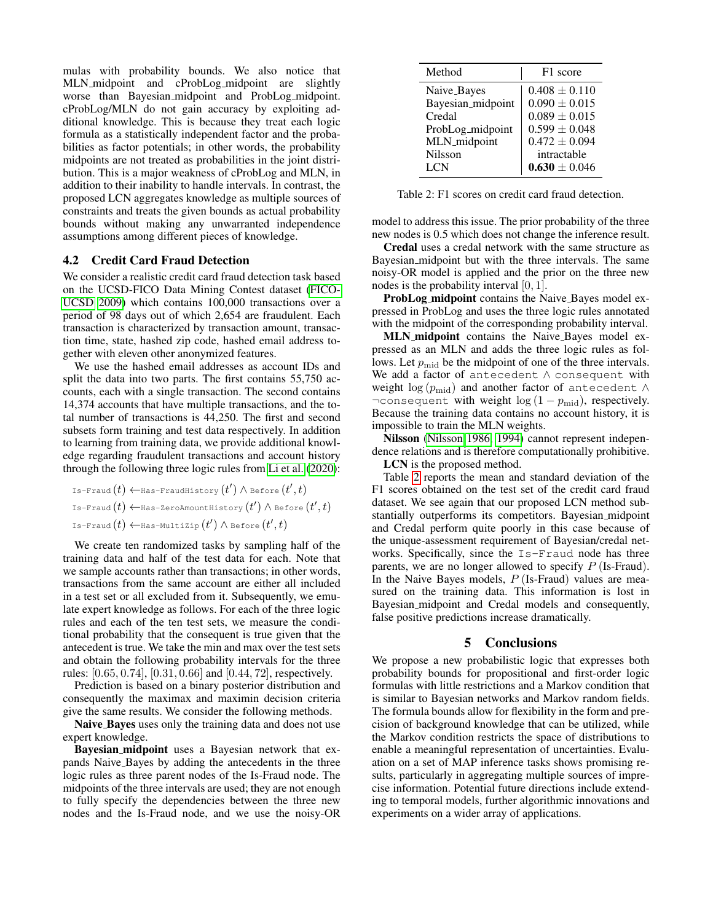mulas with probability bounds. We also notice that MLN midpoint and cProbLog midpoint are slightly worse than Bayesian midpoint and ProbLog midpoint. cProbLog/MLN do not gain accuracy by exploiting additional knowledge. This is because they treat each logic formula as a statistically independent factor and the probabilities as factor potentials; in other words, the probability midpoints are not treated as probabilities in the joint distribution. This is a major weakness of cProbLog and MLN, in addition to their inability to handle intervals. In contrast, the proposed LCN aggregates knowledge as multiple sources of constraints and treats the given bounds as actual probability bounds without making any unwarranted independence assumptions among different pieces of knowledge.

#### 4.2 Credit Card Fraud Detection

We consider a realistic credit card fraud detection task based on the UCSD-FICO Data Mining Contest dataset [\(FICO-](#page-7-34)[UCSD 2009\)](#page-7-34) which contains 100,000 transactions over a period of 98 days out of which 2,654 are fraudulent. Each transaction is characterized by transaction amount, transaction time, state, hashed zip code, hashed email address together with eleven other anonymized features.

We use the hashed email addresses as account IDs and split the data into two parts. The first contains 55,750 accounts, each with a single transaction. The second contains 14,374 accounts that have multiple transactions, and the total number of transactions is 44,250. The first and second subsets form training and test data respectively. In addition to learning from training data, we provide additional knowledge regarding fraudulent transactions and account history through the following three logic rules from [Li et al.](#page-7-35) [\(2020\)](#page-7-35):

Is-Fraud
$$
(t)
$$
  $\leftarrow$  Has-FraudHistory $(t')$   $\wedge$  Before $(t',t)$   
Is-Fraud $(t)$   $\leftarrow$  Has-ZeroAmountHistory $(t')$   $\wedge$  Before $(t',t)$   
Is-Fraud $(t)$   $\leftarrow$  Has-Multizip $(t')$   $\wedge$  Before $(t',t)$ 

We create ten randomized tasks by sampling half of the training data and half of the test data for each. Note that we sample accounts rather than transactions; in other words, transactions from the same account are either all included in a test set or all excluded from it. Subsequently, we emulate expert knowledge as follows. For each of the three logic rules and each of the ten test sets, we measure the conditional probability that the consequent is true given that the antecedent is true. We take the min and max over the test sets and obtain the following probability intervals for the three rules: [0.65, 0.74], [0.31, 0.66] and [0.44, 72], respectively.

Prediction is based on a binary posterior distribution and consequently the maximax and maximin decision criteria give the same results. We consider the following methods.

Naive Bayes uses only the training data and does not use expert knowledge.

Bayesian midpoint uses a Bayesian network that expands Naive Bayes by adding the antecedents in the three logic rules as three parent nodes of the Is-Fraud node. The midpoints of the three intervals are used; they are not enough to fully specify the dependencies between the three new nodes and the Is-Fraud node, and we use the noisy-OR

<span id="page-6-0"></span>

| Method            | F1 score          |
|-------------------|-------------------|
| Naive_Bayes       | $0.408 \pm 0.110$ |
| Bayesian_midpoint | $0.090 \pm 0.015$ |
| Credal            | $0.089 \pm 0.015$ |
| ProbLog_midpoint  | $0.599 \pm 0.048$ |
| MLN_midpoint      | $0.472 \pm 0.094$ |
| <b>Nilsson</b>    | intractable       |
| <b>LCN</b>        | $0.630 \pm 0.046$ |

Table 2: F1 scores on credit card fraud detection.

model to address this issue. The prior probability of the three new nodes is 0.5 which does not change the inference result.

Credal uses a credal network with the same structure as Bayesian midpoint but with the three intervals. The same noisy-OR model is applied and the prior on the three new nodes is the probability interval [0, 1].

ProbLog midpoint contains the Naive Bayes model expressed in ProbLog and uses the three logic rules annotated with the midpoint of the corresponding probability interval.

MLN midpoint contains the Naive Bayes model expressed as an MLN and adds the three logic rules as follows. Let  $p_{mid}$  be the midpoint of one of the three intervals. We add a factor of antecedent ∧ consequent with weight  $\log (p_{\text{mid}})$  and another factor of antecedent  $\wedge$  $\neg \text{consequent with weight } \log (1 - p_{\text{mid}})$ , respectively. Because the training data contains no account history, it is impossible to train the MLN weights.

Nilsson [\(Nilsson 1986,](#page-7-6) [1994\)](#page-7-19) cannot represent independence relations and is therefore computationally prohibitive. LCN is the proposed method.

Table [2](#page-6-0) reports the mean and standard deviation of the F1 scores obtained on the test set of the credit card fraud dataset. We see again that our proposed LCN method substantially outperforms its competitors. Bayesian midpoint and Credal perform quite poorly in this case because of the unique-assessment requirement of Bayesian/credal networks. Specifically, since the Is-Fraud node has three parents, we are no longer allowed to specify  $P$  (Is-Fraud). In the Naive Bayes models,  $P$  (Is-Fraud) values are measured on the training data. This information is lost in Bayesian midpoint and Credal models and consequently, false positive predictions increase dramatically.

## 5 Conclusions

We propose a new probabilistic logic that expresses both probability bounds for propositional and first-order logic formulas with little restrictions and a Markov condition that is similar to Bayesian networks and Markov random fields. The formula bounds allow for flexibility in the form and precision of background knowledge that can be utilized, while the Markov condition restricts the space of distributions to enable a meaningful representation of uncertainties. Evaluation on a set of MAP inference tasks shows promising results, particularly in aggregating multiple sources of imprecise information. Potential future directions include extending to temporal models, further algorithmic innovations and experiments on a wider array of applications.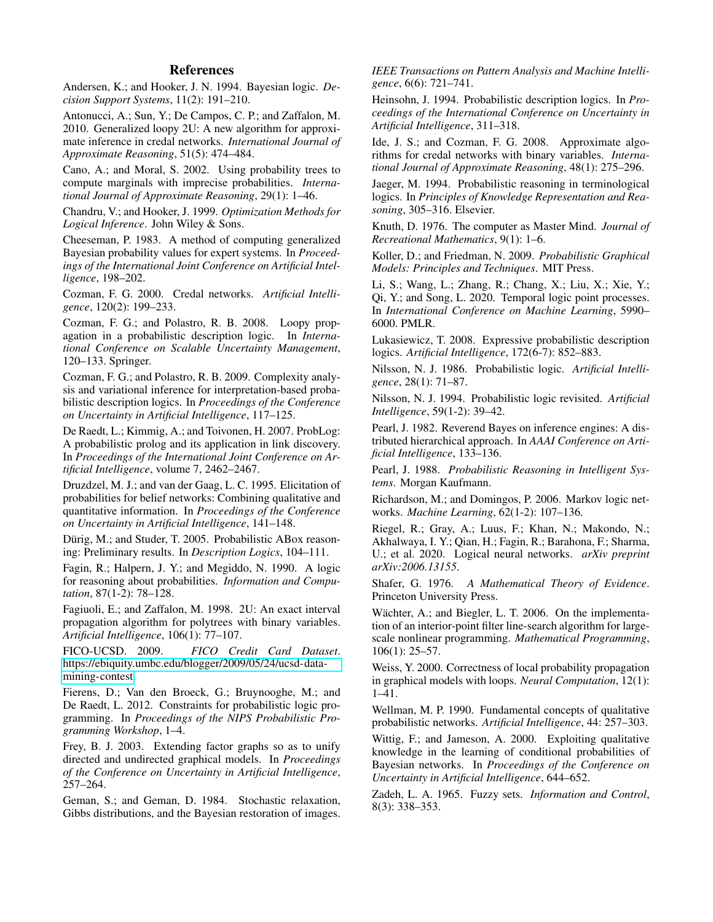## References

<span id="page-7-10"></span>Andersen, K.; and Hooker, J. N. 1994. Bayesian logic. *Decision Support Systems*, 11(2): 191–210.

<span id="page-7-30"></span>Antonucci, A.; Sun, Y.; De Campos, C. P.; and Zaffalon, M. 2010. Generalized loopy 2U: A new algorithm for approximate inference in credal networks. *International Journal of Approximate Reasoning*, 51(5): 474–484.

<span id="page-7-13"></span>Cano, A.; and Moral, S. 2002. Using probability trees to compute marginals with imprecise probabilities. *International Journal of Approximate Reasoning*, 29(1): 1–46.

<span id="page-7-11"></span>Chandru, V.; and Hooker, J. 1999. *Optimization Methods for Logical Inference*. John Wiley & Sons.

<span id="page-7-24"></span>Cheeseman, P. 1983. A method of computing generalized Bayesian probability values for expert systems. In *Proceedings of the International Joint Conference on Artificial Intelligence*, 198–202.

<span id="page-7-12"></span>Cozman, F. G. 2000. Credal networks. *Artificial Intelligence*, 120(2): 199–233.

<span id="page-7-16"></span>Cozman, F. G.; and Polastro, R. B. 2008. Loopy propagation in a probabilistic description logic. In *International Conference on Scalable Uncertainty Management*, 120–133. Springer.

<span id="page-7-20"></span>Cozman, F. G.; and Polastro, R. B. 2009. Complexity analysis and variational inference for interpretation-based probabilistic description logics. In *Proceedings of the Conference on Uncertainty in Artificial Intelligence*, 117–125.

<span id="page-7-15"></span>De Raedt, L.; Kimmig, A.; and Toivonen, H. 2007. ProbLog: A probabilistic prolog and its application in link discovery. In *Proceedings of the International Joint Conference on Artificial Intelligence*, volume 7, 2462–2467.

<span id="page-7-22"></span>Druzdzel, M. J.; and van der Gaag, L. C. 1995. Elicitation of probabilities for belief networks: Combining qualitative and quantitative information. In *Proceedings of the Conference on Uncertainty in Artificial Intelligence*, 141–148.

<span id="page-7-14"></span>Dürig, M.; and Studer, T. 2005. Probabilistic ABox reasoning: Preliminary results. In *Description Logics*, 104–111.

<span id="page-7-7"></span>Fagin, R.; Halpern, J. Y.; and Megiddo, N. 1990. A logic for reasoning about probabilities. *Information and Computation*, 87(1-2): 78–128.

<span id="page-7-28"></span>Fagiuoli, E.; and Zaffalon, M. 1998. 2U: An exact interval propagation algorithm for polytrees with binary variables. *Artificial Intelligence*, 106(1): 77–107.

<span id="page-7-34"></span>FICO-UCSD. 2009. *FICO Credit Card Dataset*. [https://ebiquity.umbc.edu/blogger/2009/05/24/ucsd-data](https://ebiquity.umbc.edu/blogger/2009/05/24/ucsd-data-mining-contest)[mining-contest.](https://ebiquity.umbc.edu/blogger/2009/05/24/ucsd-data-mining-contest)

<span id="page-7-33"></span>Fierens, D.; Van den Broeck, G.; Bruynooghe, M.; and De Raedt, L. 2012. Constraints for probabilistic logic programming. In *Proceedings of the NIPS Probabilistic Programming Workshop*, 1–4.

<span id="page-7-31"></span>Frey, B. J. 2003. Extending factor graphs so as to unify directed and undirected graphical models. In *Proceedings of the Conference on Uncertainty in Artificial Intelligence*, 257–264.

<span id="page-7-0"></span>Geman, S.; and Geman, D. 1984. Stochastic relaxation, Gibbs distributions, and the Bayesian restoration of images.

*IEEE Transactions on Pattern Analysis and Machine Intelligence*, 6(6): 721–741.

<span id="page-7-8"></span>Heinsohn, J. 1994. Probabilistic description logics. In *Proceedings of the International Conference on Uncertainty in Artificial Intelligence*, 311–318.

<span id="page-7-29"></span>Ide, J. S.; and Cozman, F. G. 2008. Approximate algorithms for credal networks with binary variables. *International Journal of Approximate Reasoning*, 48(1): 275–296.

<span id="page-7-9"></span>Jaeger, M. 1994. Probabilistic reasoning in terminological logics. In *Principles of Knowledge Representation and Reasoning*, 305–316. Elsevier.

<span id="page-7-32"></span>Knuth, D. 1976. The computer as Master Mind. *Journal of Recreational Mathematics*, 9(1): 1–6.

<span id="page-7-3"></span>Koller, D.; and Friedman, N. 2009. *Probabilistic Graphical Models: Principles and Techniques*. MIT Press.

<span id="page-7-35"></span>Li, S.; Wang, L.; Zhang, R.; Chang, X.; Liu, X.; Xie, Y.; Qi, Y.; and Song, L. 2020. Temporal logic point processes. In *International Conference on Machine Learning*, 5990– 6000. PMLR.

<span id="page-7-17"></span>Lukasiewicz, T. 2008. Expressive probabilistic description logics. *Artificial Intelligence*, 172(6-7): 852–883.

<span id="page-7-6"></span>Nilsson, N. J. 1986. Probabilistic logic. *Artificial Intelligence*, 28(1): 71–87.

<span id="page-7-19"></span>Nilsson, N. J. 1994. Probabilistic logic revisited. *Artificial Intelligence*, 59(1-2): 39–42.

<span id="page-7-26"></span>Pearl, J. 1982. Reverend Bayes on inference engines: A distributed hierarchical approach. In *AAAI Conference on Artificial Intelligence*, 133–136.

<span id="page-7-1"></span>Pearl, J. 1988. *Probabilistic Reasoning in Intelligent Systems*. Morgan Kaufmann.

<span id="page-7-2"></span>Richardson, M.; and Domingos, P. 2006. Markov logic networks. *Machine Learning*, 62(1-2): 107–136.

<span id="page-7-18"></span>Riegel, R.; Gray, A.; Luus, F.; Khan, N.; Makondo, N.; Akhalwaya, I. Y.; Qian, H.; Fagin, R.; Barahona, F.; Sharma, U.; et al. 2020. Logical neural networks. *arXiv preprint arXiv:2006.13155*.

<span id="page-7-5"></span>Shafer, G. 1976. *A Mathematical Theory of Evidence*. Princeton University Press.

<span id="page-7-25"></span>Wächter, A.; and Biegler, L. T. 2006. On the implementation of an interior-point filter line-search algorithm for largescale nonlinear programming. *Mathematical Programming*, 106(1): 25–57.

<span id="page-7-27"></span>Weiss, Y. 2000. Correctness of local probability propagation in graphical models with loops. *Neural Computation*, 12(1): 1–41.

<span id="page-7-21"></span>Wellman, M. P. 1990. Fundamental concepts of qualitative probabilistic networks. *Artificial Intelligence*, 44: 257–303.

<span id="page-7-23"></span>Wittig, F.; and Jameson, A. 2000. Exploiting qualitative knowledge in the learning of conditional probabilities of Bayesian networks. In *Proceedings of the Conference on Uncertainty in Artificial Intelligence*, 644–652.

<span id="page-7-4"></span>Zadeh, L. A. 1965. Fuzzy sets. *Information and Control*, 8(3): 338–353.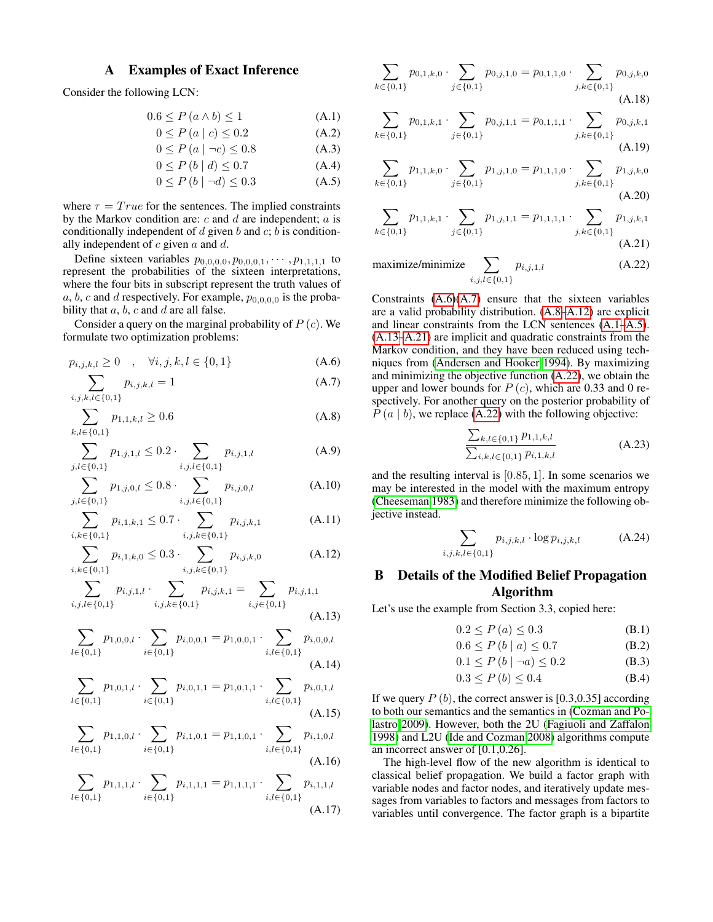# A Examples of Exact Inference

Consider the following LCN:

$$
0.6 \le P(a \wedge b) \le 1\tag{A.1}
$$

$$
0 \le P(a \mid c) \le 0.2 \tag{A.2}
$$

$$
0 \le P(a \mid \neg c) \le 0.8 \tag{A.3}
$$
\n
$$
0 \le P(b \mid d) \le 0.7 \tag{A.4}
$$

$$
0 \le P(b \mid d) \le 0.7 \tag{A.4}
$$

$$
0 \le P(b \mid \neg d) \le 0.3 \tag{A.5}
$$

where  $\tau = True$  for the sentences. The implied constraints by the Markov condition are:  $c$  and  $d$  are independent;  $a$  is conditionally independent of  $d$  given  $b$  and  $c$ ;  $b$  is conditionally independent of  $c$  given  $a$  and  $d$ .

Define sixteen variables  $p_{0,0,0,0}, p_{0,0,0,1}, \cdots, p_{1,1,1,1}$  to represent the probabilities of the sixteen interpretations, where the four bits in subscript represent the truth values of a, b, c and d respectively. For example,  $p_{0,0,0,0}$  is the probability that  $a, b, c$  and  $d$  are all false.

Consider a query on the marginal probability of  $P(c)$ . We formulate two optimization problems:

$$
p_{i,j,k,l} \ge 0 \quad , \quad \forall i,j,k,l \in \{0,1\} \tag{A.6}
$$

$$
\sum_{i,j,k,l \in \{0,1\}} p_{i,j,k,l} = 1
$$
\n(A.7)

$$
\sum_{k,l \in \{0,1\}} p_{1,1,k,l} \ge 0.6 \tag{A.8}
$$

$$
\sum_{j,l \in \{0,1\}} p_{1,j,1,l} \le 0.2 \cdot \sum_{i,j,l \in \{0,1\}} p_{i,j,1,l} \tag{A.9}
$$

$$
\sum_{j,l \in \{0,1\}} p_{1,j,0,l} \le 0.8 \cdot \sum_{i,j,l \in \{0,1\}} p_{i,j,0,l} \tag{A.10}
$$

$$
\sum_{i,k \in \{0,1\}} p_{i,1,k,1} \le 0.7 \cdot \sum_{i,j,k \in \{0,1\}} p_{i,j,k,1} \tag{A.11}
$$

$$
\sum_{i,k \in \{0,1\}} p_{i,1,k,0} \le 0.3 \cdot \sum_{i,j,k \in \{0,1\}} p_{i,j,k,0} \tag{A.12}
$$

$$
\sum_{i,j,l \in \{0,1\}} p_{i,j,1,l} \cdot \sum_{i,j,k \in \{0,1\}} p_{i,j,k,1} = \sum_{i,j \in \{0,1\}} p_{i,j,1,1}
$$
\n(A.13)

$$
\sum_{l \in \{0,1\}} p_{1,0,0,l} \cdot \sum_{i \in \{0,1\}} p_{i,0,0,1} = p_{1,0,0,1} \cdot \sum_{i,l \in \{0,1\}} p_{i,0,0,l}
$$
\n(A.14)

$$
\sum_{l \in \{0,1\}} p_{1,0,1,l} \cdot \sum_{i \in \{0,1\}} p_{i,0,1,1} = p_{1,0,1,1} \cdot \sum_{i,l \in \{0,1\}} p_{i,0,1,l}
$$
\n(A.15)

$$
\sum_{l \in \{0,1\}} p_{1,1,0,l} \cdot \sum_{i \in \{0,1\}} p_{i,1,0,1} = p_{1,1,0,1} \cdot \sum_{i,l \in \{0,1\}} p_{i,1,0,l}
$$
\n(A.16)

$$
\sum_{l \in \{0,1\}} p_{1,1,1,l} \cdot \sum_{i \in \{0,1\}} p_{i,1,1,1} = p_{1,1,1,1} \cdot \sum_{i,l \in \{0,1\}} p_{i,1,1,l}
$$
\n(A.17)

$$
\sum_{k \in \{0,1\}} p_{0,1,k,0} \cdot \sum_{j \in \{0,1\}} p_{0,j,1,0} = p_{0,1,1,0} \cdot \sum_{j,k \in \{0,1\}} p_{0,j,k,0}
$$
\n(A.18)

<span id="page-8-4"></span>
$$
\sum_{k \in \{0,1\}} p_{0,1,k,1} \cdot \sum_{j \in \{0,1\}} p_{0,j,1,1} = p_{0,1,1,1} \cdot \sum_{j,k \in \{0,1\}} p_{0,j,k,1}
$$
\n(A.19)

<span id="page-8-5"></span>
$$
\sum_{k \in \{0,1\}} p_{1,1,k,0} \cdot \sum_{j \in \{0,1\}} p_{1,j,1,0} = p_{1,1,1,0} \cdot \sum_{j,k \in \{0,1\}} p_{1,j,k,0}
$$
\n(A.20)

<span id="page-8-7"></span>
$$
\sum_{k \in \{0,1\}} p_{1,1,k,1} \cdot \sum_{j \in \{0,1\}} p_{1,j,1,1} = p_{1,1,1,1} \cdot \sum_{j,k \in \{0,1\}} p_{1,j,k,1}
$$
\n(A.21)

$$
\text{maximize/minimize} \sum_{i,j,l \in \{0,1\}} p_{i,j,1,l} \tag{A.22}
$$

<span id="page-8-1"></span><span id="page-8-0"></span>Constraints  $(A.6)(A.7)$  $(A.6)(A.7)$  ensure that the sixteen variables are a valid probability distribution. [\(A.8–](#page-8-2)[A.12\)](#page-8-3) are explicit and linear constraints from the LCN sentences [\(A.1–](#page-8-4)[A.5\)](#page-8-5). [\(A.13](#page-8-6)[–A.21\)](#page-8-7) are implicit and quadratic constraints from the Markov condition, and they have been reduced using techniques from [\(Andersen and Hooker 1994\)](#page-7-10). By maximizing and minimizing the objective function [\(A.22\)](#page-8-8), we obtain the upper and lower bounds for  $P(c)$ , which are 0.33 and 0 respectively. For another query on the posterior probability of  $P(a | b)$ , we replace [\(A.22\)](#page-8-8) with the following objective:

<span id="page-8-8"></span>
$$
\frac{\sum_{k,l\in\{0,1\}} p_{1,1,k,l}}{\sum_{i,k,l\in\{0,1\}} p_{i,1,k,l}}\tag{A.23}
$$

<span id="page-8-2"></span>and the resulting interval is [0.85, 1]. In some scenarios we may be interested in the model with the maximum entropy [\(Cheeseman 1983\)](#page-7-24) and therefore minimize the following objective instead.

$$
\sum_{i,j,k,l \in \{0,1\}} p_{i,j,k,l} \cdot \log p_{i,j,k,l} \tag{A.24}
$$

# <span id="page-8-3"></span>B Details of the Modified Belief Propagation Algorithm

<span id="page-8-6"></span>Let's use the example from Section 3.3, copied here:

$$
0.2 \le P(a) \le 0.3 \tag{B.1}
$$

<span id="page-8-11"></span><span id="page-8-9"></span>
$$
0.6 \le P(b \mid a) \le 0.7 \tag{B.2}
$$

$$
0.1 \le P(b \mid \neg a) \le 0.2 \tag{B.3}
$$

<span id="page-8-12"></span><span id="page-8-10"></span>
$$
0.3 \le P(b) \le 0.4 \tag{B.4}
$$

If we query  $P(b)$ , the correct answer is [0.3,0.35] according to both our semantics and the semantics in [\(Cozman and Po](#page-7-20)[lastro 2009\)](#page-7-20). However, both the 2U [\(Fagiuoli and Zaffalon](#page-7-28) [1998\)](#page-7-28) and L2U [\(Ide and Cozman 2008\)](#page-7-29) algorithms compute an incorrect answer of [0.1,0.26].

The high-level flow of the new algorithm is identical to classical belief propagation. We build a factor graph with variable nodes and factor nodes, and iteratively update messages from variables to factors and messages from factors to variables until convergence. The factor graph is a bipartite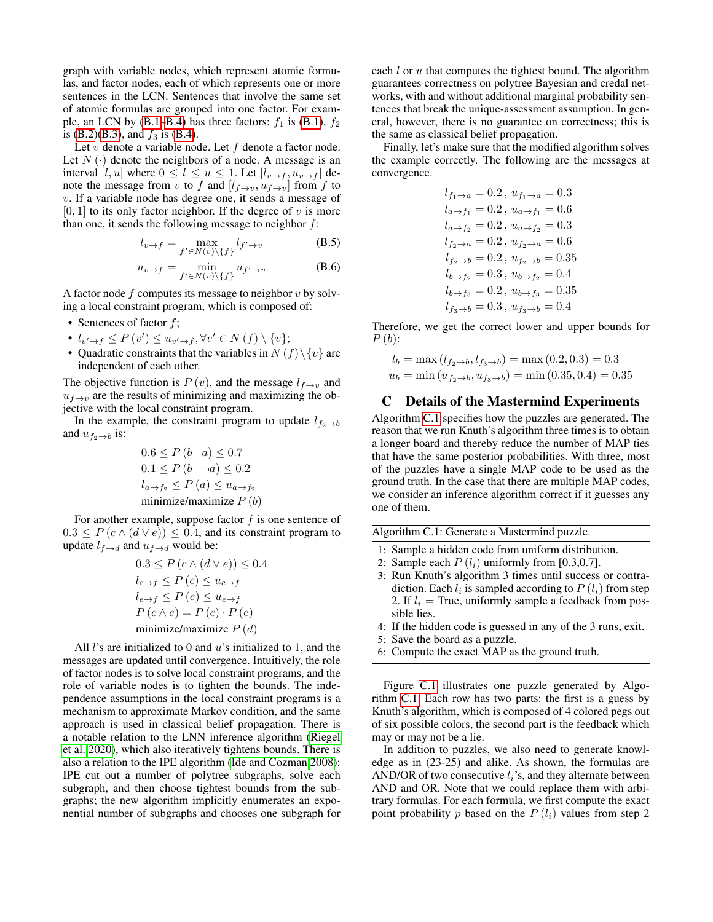graph with variable nodes, which represent atomic formulas, and factor nodes, each of which represents one or more sentences in the LCN. Sentences that involve the same set of atomic formulas are grouped into one factor. For exam-ple, an LCN by [\(B.1](#page-8-9)[–B.4\)](#page-8-10) has three factors:  $f_1$  is [\(B.1\)](#page-8-9),  $f_2$ is [\(B.2\)](#page-8-11)[\(B.3\)](#page-8-12), and  $f_3$  is [\(B.4\)](#page-8-10).

Let  $v$  denote a variable node. Let  $f$  denote a factor node. Let  $N(\cdot)$  denote the neighbors of a node. A message is an interval [l, u] where  $0 \le l \le u \le 1$ . Let  $[l_{v \to f}, u_{v \to f}]$  denote the message from v to f and  $[l_{f\rightarrow v}, u_{f\rightarrow v}]$  from f to v. If a variable node has degree one, it sends a message of  $[0, 1]$  to its only factor neighbor. If the degree of v is more than one, it sends the following message to neighbor  $f$ :

$$
l_{v \to f} = \max_{f' \in N(v) \setminus \{f\}} l_{f' \to v}
$$
 (B.5)

$$
u_{v \to f} = \min_{f' \in N(v) \setminus \{f\}} u_{f' \to v}
$$
 (B.6)

A factor node  $f$  computes its message to neighbor  $v$  by solving a local constraint program, which is composed of:

- Sentences of factor  $f$ ;
- $l_{v' \to f} \leq P(v') \leq u_{v' \to f}, \forall v' \in N(f) \setminus \{v\};$
- Quadratic constraints that the variables in  $N(f)\setminus\{v\}$  are independent of each other.

The objective function is  $P(v)$ , and the message  $l_{f\rightarrow v}$  and  $u_{f\rightarrow v}$  are the results of minimizing and maximizing the objective with the local constraint program.

In the example, the constraint program to update  $l_{f_2 \rightarrow b}$ and  $u_{f_2\to b}$  is:

$$
0.6 \le P(b \mid a) \le 0.7
$$
  
\n
$$
0.1 \le P(b \mid \neg a) \le 0.2
$$
  
\n
$$
l_{a \to f_2} \le P(a) \le u_{a \to f_2}
$$
  
\nminimize /maximize P(b)

For another example, suppose factor  $f$  is one sentence of  $0.3 \leq P(c \wedge (d \vee e)) \leq 0.4$ , and its constraint program to update  $l_{f\rightarrow d}$  and  $u_{f\rightarrow d}$  would be:

$$
0.3 \le P(c \land (d \lor e)) \le 0.4
$$
  
\n
$$
l_{c \to f} \le P(c) \le u_{c \to f}
$$
  
\n
$$
l_{e \to f} \le P(e) \le u_{e \to f}
$$
  
\n
$$
P(c \land e) = P(c) \cdot P(e)
$$
  
\nminimize/maximize P(d)

All *l*'s are initialized to 0 and  $u$ 's initialized to 1, and the messages are updated until convergence. Intuitively, the role of factor nodes is to solve local constraint programs, and the role of variable nodes is to tighten the bounds. The independence assumptions in the local constraint programs is a mechanism to approximate Markov condition, and the same approach is used in classical belief propagation. There is a notable relation to the LNN inference algorithm [\(Riegel](#page-7-18) [et al. 2020\)](#page-7-18), which also iteratively tightens bounds. There is also a relation to the IPE algorithm [\(Ide and Cozman 2008\)](#page-7-29): IPE cut out a number of polytree subgraphs, solve each subgraph, and then choose tightest bounds from the subgraphs; the new algorithm implicitly enumerates an exponential number of subgraphs and chooses one subgraph for

each  $l$  or  $u$  that computes the tightest bound. The algorithm guarantees correctness on polytree Bayesian and credal networks, with and without additional marginal probability sentences that break the unique-assessment assumption. In general, however, there is no guarantee on correctness; this is the same as classical belief propagation.

Finally, let's make sure that the modified algorithm solves the example correctly. The following are the messages at convergence.

> $l_{f_1\to a} = 0.2$ ,  $u_{f_1\to a} = 0.3$  $l_{a\to f_1} = 0.2$ ,  $u_{a\to f_1} = 0.6$  $l_{a\to f_2} = 0.2$ ,  $u_{a\to f_2} = 0.3$  $l_{f_2\to a} = 0.2$ ,  $u_{f_2\to a} = 0.6$  $l_{f_2\to b} = 0.2$ ,  $u_{f_2\to b} = 0.35$  $l_{b\to f_2} = 0.3$ ,  $u_{b\to f_2} = 0.4$  $l_{b\to f_3} = 0.2$ ,  $u_{b\to f_3} = 0.35$  $l_{f_3\to b} = 0.3$ ,  $u_{f_3\to b} = 0.4$

Therefore, we get the correct lower and upper bounds for  $P(b)$ :

$$
l_b = \max(l_{f_2 \to b}, l_{f_3 \to b}) = \max(0.2, 0.3) = 0.3
$$
  

$$
u_b = \min(u_{f_2 \to b}, u_{f_3 \to b}) = \min(0.35, 0.4) = 0.35
$$

### C Details of the Mastermind Experiments

Algorithm [C.1](#page-9-0) specifies how the puzzles are generated. The reason that we run Knuth's algorithm three times is to obtain a longer board and thereby reduce the number of MAP ties that have the same posterior probabilities. With three, most of the puzzles have a single MAP code to be used as the ground truth. In the case that there are multiple MAP codes, we consider an inference algorithm correct if it guesses any one of them.

<span id="page-9-0"></span>Algorithm C.1: Generate a Mastermind puzzle.

- 1: Sample a hidden code from uniform distribution.
- 2: Sample each  $P(l_i)$  uniformly from [0.3,0.7].
- 3: Run Knuth's algorithm 3 times until success or contradiction. Each  $l_i$  is sampled according to  $P(l_i)$  from step 2. If  $l_i$  = True, uniformly sample a feedback from possible lies.
- 4: If the hidden code is guessed in any of the 3 runs, exit.
- 5: Save the board as a puzzle.
- 6: Compute the exact MAP as the ground truth.

Figure [C.1](#page-10-0) illustrates one puzzle generated by Algorithm [C.1.](#page-9-0) Each row has two parts: the first is a guess by Knuth's algorithm, which is composed of 4 colored pegs out of six possible colors, the second part is the feedback which may or may not be a lie.

In addition to puzzles, we also need to generate knowledge as in (23-25) and alike. As shown, the formulas are AND/OR of two consecutive  $l_i$ 's, and they alternate between AND and OR. Note that we could replace them with arbitrary formulas. For each formula, we first compute the exact point probability p based on the  $P(l_i)$  values from step 2